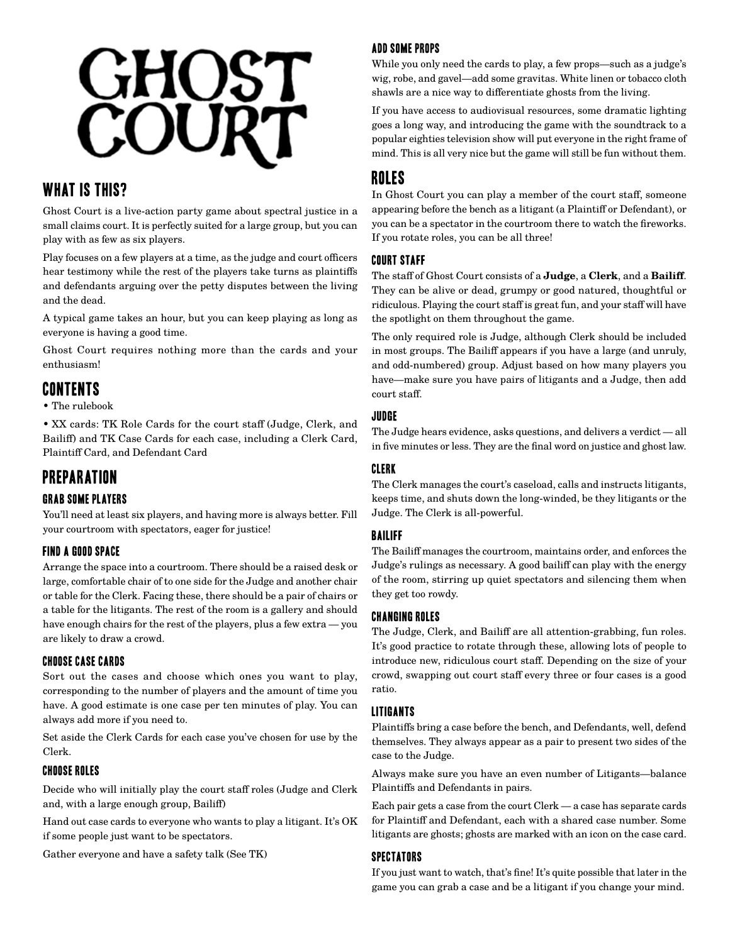

# WHAT IS THIS?

Ghost Court is a live-action party game about spectral justice in a small claims court. It is perfectly suited for a large group, but you can play with as few as six players.

Play focuses on a few players at a time, as the judge and court officers hear testimony while the rest of the players take turns as plaintiffs and defendants arguing over the petty disputes between the living and the dead.

A typical game takes an hour, but you can keep playing as long as everyone is having a good time.

Ghost Court requires nothing more than the cards and your enthusiasm!

# Contents

• The rulebook

• XX cards: TK Role Cards for the court staff (Judge, Clerk, and Bailiff) and TK Case Cards for each case, including a Clerk Card, Plaintiff Card, and Defendant Card

# Preparation

#### Grab Some Players

You'll need at least six players, and having more is always better. Fill your courtroom with spectators, eager for justice!

# Find a Good Space

Arrange the space into a courtroom. There should be a raised desk or large, comfortable chair of to one side for the Judge and another chair or table for the Clerk. Facing these, there should be a pair of chairs or a table for the litigants. The rest of the room is a gallery and should have enough chairs for the rest of the players, plus a few extra — you are likely to draw a crowd.

#### Choose Case Cards

Sort out the cases and choose which ones you want to play, corresponding to the number of players and the amount of time you have. A good estimate is one case per ten minutes of play. You can always add more if you need to.

Set aside the Clerk Cards for each case you've chosen for use by the Clerk.

#### Choose Roles

Decide who will initially play the court staff roles (Judge and Clerk and, with a large enough group, Bailiff)

Hand out case cards to everyone who wants to play a litigant. It's OK if some people just want to be spectators.

Gather everyone and have a safety talk (See TK)

# Add Some Props

While you only need the cards to play, a few props—such as a judge's wig, robe, and gavel—add some gravitas. White linen or tobacco cloth shawls are a nice way to differentiate ghosts from the living.

If you have access to audiovisual resources, some dramatic lighting goes a long way, and introducing the game with the soundtrack to a popular eighties television show will put everyone in the right frame of mind. This is all very nice but the game will still be fun without them.

# Roles

In Ghost Court you can play a member of the court staff, someone appearing before the bench as a litigant (a Plaintiff or Defendant), or you can be a spectator in the courtroom there to watch the fireworks. If you rotate roles, you can be all three!

#### Court Staff

The staff of Ghost Court consists of a **Judge**, a **Clerk**, and a **Bailiff**. They can be alive or dead, grumpy or good natured, thoughtful or ridiculous. Playing the court staff is great fun, and your staff will have the spotlight on them throughout the game.

The only required role is Judge, although Clerk should be included in most groups. The Bailiff appears if you have a large (and unruly, and odd-numbered) group. Adjust based on how many players you have—make sure you have pairs of litigants and a Judge, then add court staff.

#### Judge

The Judge hears evidence, asks questions, and delivers a verdict — all in five minutes or less. They are the final word on justice and ghost law.

#### Clerk

The Clerk manages the court's caseload, calls and instructs litigants, keeps time, and shuts down the long-winded, be they litigants or the Judge. The Clerk is all-powerful.

# Bailiff

The Bailiff manages the courtroom, maintains order, and enforces the Judge's rulings as necessary. A good bailiff can play with the energy of the room, stirring up quiet spectators and silencing them when they get too rowdy.

#### CHANGING Roles

The Judge, Clerk, and Bailiff are all attention-grabbing, fun roles. It's good practice to rotate through these, allowing lots of people to introduce new, ridiculous court staff. Depending on the size of your crowd, swapping out court staff every three or four cases is a good ratio.

# Litigants

Plaintiffs bring a case before the bench, and Defendants, well, defend themselves. They always appear as a pair to present two sides of the case to the Judge.

Always make sure you have an even number of Litigants—balance Plaintiffs and Defendants in pairs.

Each pair gets a case from the court Clerk — a case has separate cards for Plaintiff and Defendant, each with a shared case number. Some litigants are ghosts; ghosts are marked with an icon on the case card.

#### **SPECTATORS**

If you just want to watch, that's fine! It's quite possible that later in the game you can grab a case and be a litigant if you change your mind.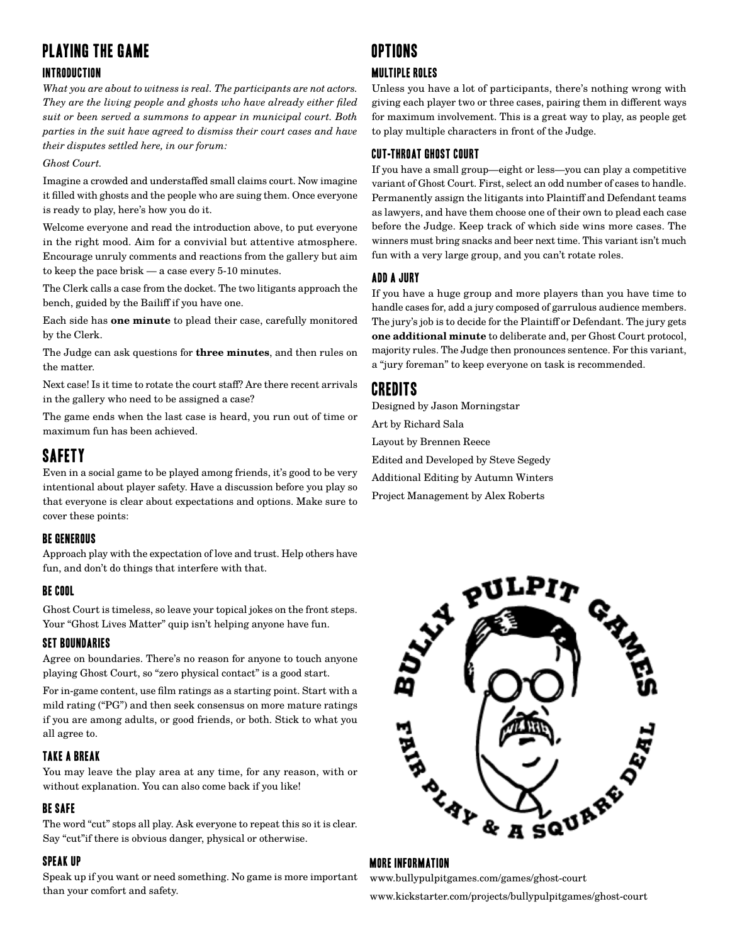# Playing The Game

## Introduction

*What you are about to witness is real. The participants are not actors. They are the living people and ghosts who have already either filed suit or been served a summons to appear in municipal court. Both parties in the suit have agreed to dismiss their court cases and have their disputes settled here, in our forum:* 

#### *Ghost Court.*

Imagine a crowded and understaffed small claims court. Now imagine it filled with ghosts and the people who are suing them. Once everyone is ready to play, here's how you do it.

Welcome everyone and read the introduction above, to put everyone in the right mood. Aim for a convivial but attentive atmosphere. Encourage unruly comments and reactions from the gallery but aim to keep the pace brisk — a case every 5-10 minutes.

The Clerk calls a case from the docket. The two litigants approach the bench, guided by the Bailiff if you have one.

Each side has **one minute** to plead their case, carefully monitored by the Clerk.

The Judge can ask questions for **three minutes**, and then rules on the matter.

Next case! Is it time to rotate the court staff? Are there recent arrivals in the gallery who need to be assigned a case?

The game ends when the last case is heard, you run out of time or maximum fun has been achieved.

# Safety

Even in a social game to be played among friends, it's good to be very intentional about player safety. Have a discussion before you play so that everyone is clear about expectations and options. Make sure to cover these points:

#### Be Generous

Approach play with the expectation of love and trust. Help others have fun, and don't do things that interfere with that.

#### BE COOL

Ghost Court is timeless, so leave your topical jokes on the front steps. Your "Ghost Lives Matter" quip isn't helping anyone have fun.

#### Set Boundaries

Agree on boundaries. There's no reason for anyone to touch anyone playing Ghost Court, so "zero physical contact" is a good start.

For in-game content, use film ratings as a starting point. Start with a mild rating ("PG") and then seek consensus on more mature ratings if you are among adults, or good friends, or both. Stick to what you all agree to.

#### Take a Break

You may leave the play area at any time, for any reason, with or without explanation. You can also come back if you like!

#### Be SAfe

The word "cut" stops all play. Ask everyone to repeat this so it is clear. Say "cut"if there is obvious danger, physical or otherwise.

#### Speak Up

Speak up if you want or need something. No game is more important than your comfort and safety.

# Options

#### MULTIPLE ROLES

Unless you have a lot of participants, there's nothing wrong with giving each player two or three cases, pairing them in different ways for maximum involvement. This is a great way to play, as people get to play multiple characters in front of the Judge.

#### CUT-THROAT GHOST COURT

If you have a small group—eight or less—you can play a competitive variant of Ghost Court. First, select an odd number of cases to handle. Permanently assign the litigants into Plaintiff and Defendant teams as lawyers, and have them choose one of their own to plead each case before the Judge. Keep track of which side wins more cases. The winners must bring snacks and beer next time. This variant isn't much fun with a very large group, and you can't rotate roles.

#### Add A Jury

If you have a huge group and more players than you have time to handle cases for, add a jury composed of garrulous audience members. The jury's job is to decide for the Plaintiff or Defendant. The jury gets **one additional minute** to deliberate and, per Ghost Court protocol, majority rules. The Judge then pronounces sentence. For this variant, a "jury foreman" to keep everyone on task is recommended.

# Credits

Designed by Jason Morningstar Art by Richard Sala Layout by Brennen Reece Edited and Developed by Steve Segedy Additional Editing by Autumn Winters Project Management by Alex Roberts



#### MORE INFORMATION

www.bullypulpitgames.com/games/ghost-court www.kickstarter.com/projects/bullypulpitgames/ghost-court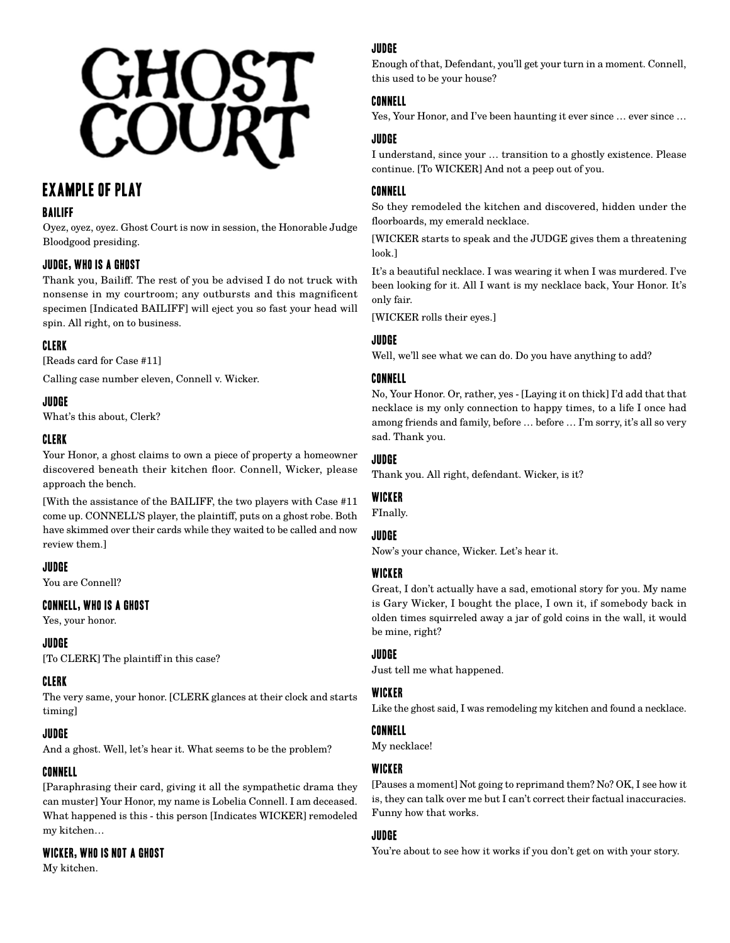# **GHOST**<br>COURT

# Example of Play

## Bailiff

Oyez, oyez, oyez. Ghost Court is now in session, the Honorable Judge Bloodgood presiding.

# Judge, who is a ghost

Thank you, Bailiff. The rest of you be advised I do not truck with nonsense in my courtroom; any outbursts and this magnificent specimen [Indicated BAILIFF] will eject you so fast your head will spin. All right, on to business.

# Clerk

[Reads card for Case #11]

Calling case number eleven, Connell v. Wicker.

#### Judge

What's this about, Clerk?

#### Clerk

Your Honor, a ghost claims to own a piece of property a homeowner discovered beneath their kitchen floor. Connell, Wicker, please approach the bench.

[With the assistance of the BAILIFF, the two players with Case #11 come up. CONNELL'S player, the plaintiff, puts on a ghost robe. Both have skimmed over their cards while they waited to be called and now review them.]

#### Judge

You are Connell?

#### Connell, Who Is A Ghost

Yes, your honor.

#### Judge

[To CLERK] The plaintiff in this case?

#### Clerk

The very same, your honor. [CLERK glances at their clock and starts timing]

# **JUDGE**

And a ghost. Well, let's hear it. What seems to be the problem?

# Connell

[Paraphrasing their card, giving it all the sympathetic drama they can muster] Your Honor, my name is Lobelia Connell. I am deceased. What happened is this - this person [Indicates WICKER] remodeled my kitchen…

# Wicker, Who Is Not A Ghost

My kitchen.

# Judge

Enough of that, Defendant, you'll get your turn in a moment. Connell, this used to be your house?

#### Connell

Yes, Your Honor, and I've been haunting it ever since … ever since …

#### Judge

I understand, since your … transition to a ghostly existence. Please continue. [To WICKER] And not a peep out of you.

#### Connell

So they remodeled the kitchen and discovered, hidden under the floorboards, my emerald necklace.

[WICKER starts to speak and the JUDGE gives them a threatening look.]

It's a beautiful necklace. I was wearing it when I was murdered. I've been looking for it. All I want is my necklace back, Your Honor. It's only fair.

[WICKER rolls their eyes.]

#### Judge

Well, we'll see what we can do. Do you have anything to add?

#### Connell

No, Your Honor. Or, rather, yes - [Laying it on thick] I'd add that that necklace is my only connection to happy times, to a life I once had among friends and family, before … before … I'm sorry, it's all so very sad. Thank you.

#### Judge

Thank you. All right, defendant. Wicker, is it?

#### **WICKER**

FInally.

#### **JUDGE**

Now's your chance, Wicker. Let's hear it.

#### Wicker

Great, I don't actually have a sad, emotional story for you. My name is Gary Wicker, I bought the place, I own it, if somebody back in olden times squirreled away a jar of gold coins in the wall, it would be mine, right?

#### Judge

Just tell me what happened.

#### **WICKER**

Like the ghost said, I was remodeling my kitchen and found a necklace.

#### Connell

My necklace!

#### **WICKER**

[Pauses a moment] Not going to reprimand them? No? OK, I see how it is, they can talk over me but I can't correct their factual inaccuracies. Funny how that works.

#### Judge

You're about to see how it works if you don't get on with your story.